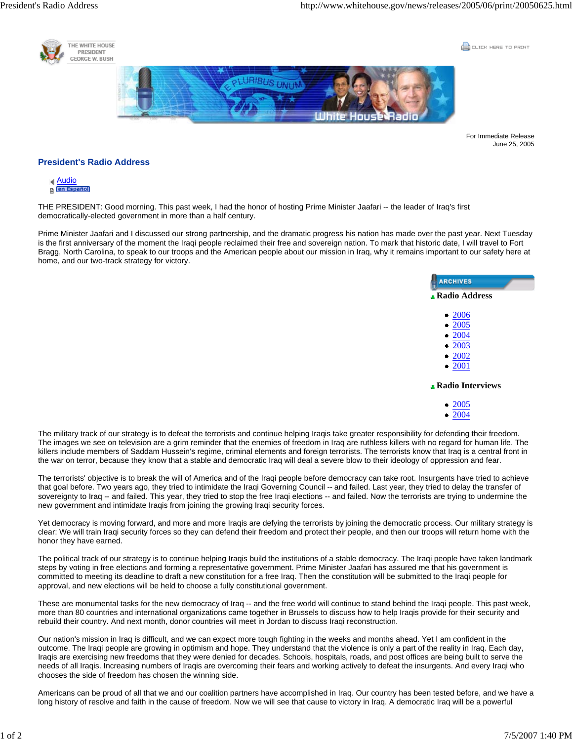

COCK HERE TO PRINT



For Immediate Release June 25, 2005

## **President's Radio Address**



THE PRESIDENT: Good morning. This past week, I had the honor of hosting Prime Minister Jaafari -- the leader of Iraq's first democratically-elected government in more than a half century.

Prime Minister Jaafari and I discussed our strong partnership, and the dramatic progress his nation has made over the past year. Next Tuesday is the first anniversary of the moment the Iraqi people reclaimed their free and sovereign nation. To mark that historic date, I will travel to Fort Bragg, North Carolina, to speak to our troops and the American people about our mission in Iraq, why it remains important to our safety here at home, and our two-track strategy for victory.

| <b>ARCHIVES</b>         |
|-------------------------|
| <b>Radio Address</b>    |
| $\bullet$ 2006          |
| $\bullet$ 2005          |
| • 2004                  |
| • 2003<br>• 2002        |
| $\bullet$ 2001          |
| <b>Radio Interviews</b> |
| $\bullet$ 2005          |

• 2004

The military track of our strategy is to defeat the terrorists and continue helping Iraqis take greater responsibility for defending their freedom. The images we see on television are a grim reminder that the enemies of freedom in Iraq are ruthless killers with no regard for human life. The killers include members of Saddam Hussein's regime, criminal elements and foreign terrorists. The terrorists know that Iraq is a central front in the war on terror, because they know that a stable and democratic Iraq will deal a severe blow to their ideology of oppression and fear.

The terrorists' objective is to break the will of America and of the Iraqi people before democracy can take root. Insurgents have tried to achieve that goal before. Two years ago, they tried to intimidate the Iraqi Governing Council -- and failed. Last year, they tried to delay the transfer of sovereignty to Iraq -- and failed. This year, they tried to stop the free Iraqi elections -- and failed. Now the terrorists are trying to undermine the new government and intimidate Iraqis from joining the growing Iraqi security forces.

Yet democracy is moving forward, and more and more Iraqis are defying the terrorists by joining the democratic process. Our military strategy is clear: We will train Iraqi security forces so they can defend their freedom and protect their people, and then our troops will return home with the honor they have earned.

The political track of our strategy is to continue helping Iraqis build the institutions of a stable democracy. The Iraqi people have taken landmark steps by voting in free elections and forming a representative government. Prime Minister Jaafari has assured me that his government is committed to meeting its deadline to draft a new constitution for a free Iraq. Then the constitution will be submitted to the Iraqi people for approval, and new elections will be held to choose a fully constitutional government.

These are monumental tasks for the new democracy of Iraq -- and the free world will continue to stand behind the Iraqi people. This past week, more than 80 countries and international organizations came together in Brussels to discuss how to help Iraqis provide for their security and rebuild their country. And next month, donor countries will meet in Jordan to discuss Iraqi reconstruction.

Our nation's mission in Iraq is difficult, and we can expect more tough fighting in the weeks and months ahead. Yet I am confident in the outcome. The Iraqi people are growing in optimism and hope. They understand that the violence is only a part of the reality in Iraq. Each day, Iraqis are exercising new freedoms that they were denied for decades. Schools, hospitals, roads, and post offices are being built to serve the needs of all Iraqis. Increasing numbers of Iraqis are overcoming their fears and working actively to defeat the insurgents. And every Iraqi who chooses the side of freedom has chosen the winning side.

Americans can be proud of all that we and our coalition partners have accomplished in Iraq. Our country has been tested before, and we have a long history of resolve and faith in the cause of freedom. Now we will see that cause to victory in Iraq. A democratic Iraq will be a powerful